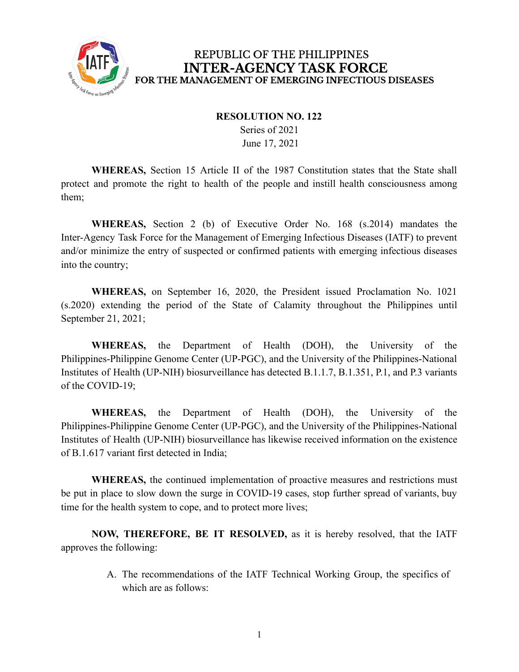

## REPUBLIC OF THE PHILIPPINES **INTER-AGENCY TASK FORCE** FOR THE MANAGEMENT OF EMERGING INFECTIOUS DISEASES

## **RESOLUTION NO. 122**

Series of 2021 June 17, 2021

**WHEREAS,** Section 15 Article II of the 1987 Constitution states that the State shall protect and promote the right to health of the people and instill health consciousness among them;

**WHEREAS,** Section 2 (b) of Executive Order No. 168 (s.2014) mandates the Inter-Agency Task Force for the Management of Emerging Infectious Diseases (IATF) to prevent and/or minimize the entry of suspected or confirmed patients with emerging infectious diseases into the country;

**WHEREAS,** on September 16, 2020, the President issued Proclamation No. 1021 (s.2020) extending the period of the State of Calamity throughout the Philippines until September 21, 2021;

**WHEREAS,** the Department of Health (DOH), the University of the Philippines-Philippine Genome Center (UP-PGC), and the University of the Philippines-National Institutes of Health (UP-NIH) biosurveillance has detected B.1.1.7, B.1.351, P.1, and P.3 variants of the COVID-19;

**WHEREAS,** the Department of Health (DOH), the University of the Philippines-Philippine Genome Center (UP-PGC), and the University of the Philippines-National Institutes of Health (UP-NIH) biosurveillance has likewise received information on the existence of B.1.617 variant first detected in India;

**WHEREAS,** the continued implementation of proactive measures and restrictions must be put in place to slow down the surge in COVID-19 cases, stop further spread of variants, buy time for the health system to cope, and to protect more lives;

**NOW, THEREFORE, BE IT RESOLVED,** as it is hereby resolved, that the IATF approves the following:

> A. The recommendations of the IATF Technical Working Group, the specifics of which are as follows: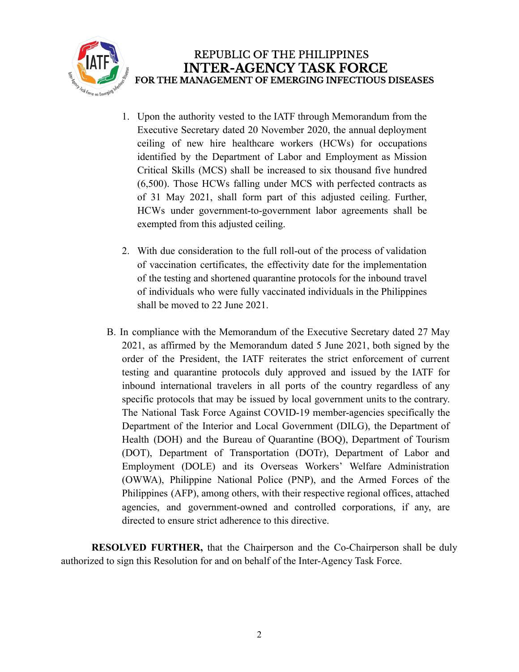

- 1. Upon the authority vested to the IATF through Memorandum from the Executive Secretary dated 20 November 2020, the annual deployment ceiling of new hire healthcare workers (HCWs) for occupations identified by the Department of Labor and Employment as Mission Critical Skills (MCS) shall be increased to six thousand five hundred (6,500). Those HCWs falling under MCS with perfected contracts as of 31 May 2021, shall form part of this adjusted ceiling. Further, HCWs under government-to-government labor agreements shall be exempted from this adjusted ceiling.
- 2. With due consideration to the full roll-out of the process of validation of vaccination certificates, the effectivity date for the implementation of the testing and shortened quarantine protocols for the inbound travel of individuals who were fully vaccinated individuals in the Philippines shall be moved to 22 June 2021.
- B. In compliance with the Memorandum of the Executive Secretary dated 27 May 2021, as affirmed by the Memorandum dated 5 June 2021, both signed by the order of the President, the IATF reiterates the strict enforcement of current testing and quarantine protocols duly approved and issued by the IATF for inbound international travelers in all ports of the country regardless of any specific protocols that may be issued by local government units to the contrary. The National Task Force Against COVID-19 member-agencies specifically the Department of the Interior and Local Government (DILG), the Department of Health (DOH) and the Bureau of Quarantine (BOQ), Department of Tourism (DOT), Department of Transportation (DOTr), Department of Labor and Employment (DOLE) and its Overseas Workers' Welfare Administration (OWWA), Philippine National Police (PNP), and the Armed Forces of the Philippines (AFP), among others, with their respective regional offices, attached agencies, and government-owned and controlled corporations, if any, are directed to ensure strict adherence to this directive.

**RESOLVED FURTHER,** that the Chairperson and the Co-Chairperson shall be duly authorized to sign this Resolution for and on behalf of the Inter-Agency Task Force.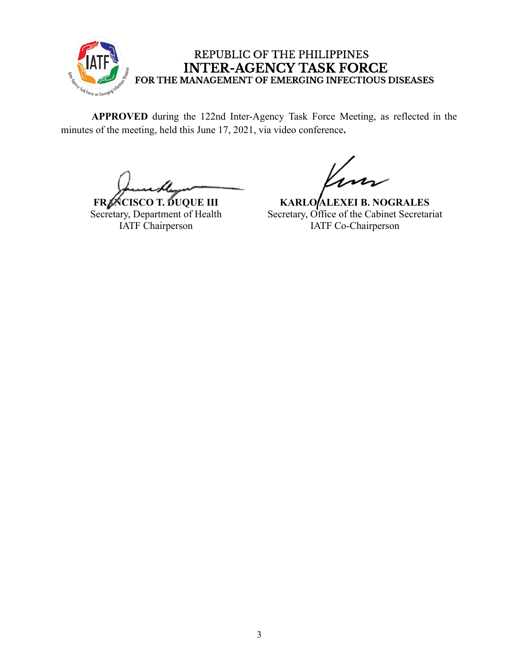

## REPUBLIC OF THE PHILIPPINES **INTER-AGENCY TASK FORCE** FOR THE MANAGEMENT OF EMERGING INFECTIOUS DISEASES

**APPROVED** during the 122nd Inter-Agency Task Force Meeting, as reflected in the minutes of the meeting, held this June 17, 2021, via video conference**.**

**FRANCISCO T. DUQUE III** Secretary, Department of Health IATF Chairperson

**KARLO ALEXEI B. NOGRALES** Secretary, Office of the Cabinet Secretariat IATF Co-Chairperson